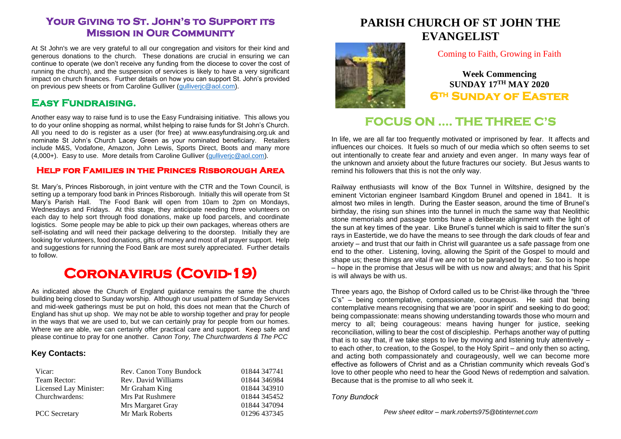### **Your Giving to St. John's to Support its Mission in Our Community**

At St John's we are very grateful to all our congregation and visitors for their kind and generous donations to the church. These donations are crucial in ensuring we can continue to operate (we don't receive any funding from the diocese to cover the cost of running the church), and the suspension of services is likely to have a very significant impact on church finances. Further details on how you can support St. John's provided on previous pew sheets or from Caroline Gulliver (gulliveric@aol.com).

### **Easy Fundraising.**

Another easy way to raise fund is to use the Easy Fundraising initiative. This allows you to do your online shopping as normal, whilst helping to raise funds for St John's Church. All you need to do is register as a user (for free) at www.easyfundraising.org.uk and nominate St John's Church Lacey Green as your nominated beneficiary. Retailers include M&S, Vodafone, Amazon, John Lewis, Sports Direct, Boots and many more (4,000+). Easy to use. More details from Caroline Gulliver [\(gulliverjc@aol.com\)](mailto:gulliverjc@aol.com).

#### **Help for Families in the Princes Risborough Area**

St. Mary's, Princes Risborough, in joint venture with the CTR and the Town Council, is setting up a temporary food bank in Princes Risborough. Initially this will operate from St Mary's Parish Hall. The Food Bank will open from 10am to 2pm on Mondays, Wednesdays and Fridays. At this stage, they anticipate needing three volunteers on each day to help sort through food donations, make up food parcels, and coordinate logistics. Some people may be able to pick up their own packages, whereas others are self-isolating and will need their package delivering to the doorstep. Initially they are looking for volunteers, food donations, gifts of money and most of all prayer support. Help and suggestions for running the Food Bank are most surely appreciated. Further details to follow.

# **Coronavirus (Covid-19)**

As indicated above the Church of England guidance remains the same the church building being closed to Sunday worship. Although our usual pattern of Sunday Services and mid-week gatherings must be put on hold, this does not mean that the Church of England has shut up shop. We may not be able to worship together and pray for people in the ways that we are used to, but we can certainly pray for people from our homes. Where we are able, we can certainly offer practical care and support. Keep safe and please continue to pray for one another. *Canon Tony, The Churchwardens & The PCC*

#### **Key Contacts:**

| Vicar:                 | Rev. Canon Tony Bundock | 01844 347741 |
|------------------------|-------------------------|--------------|
| Team Rector:           | Rev. David Williams     | 01844 346984 |
| Licensed Lay Minister: | Mr Graham King          | 01844 343910 |
| Churchwardens:         | Mrs Pat Rushmere        | 01844 345452 |
|                        | Mrs Margaret Gray       | 01844 347094 |
| <b>PCC</b> Secretary   | Mr Mark Roberts         | 01296 437345 |

# **PARISH CHURCH OF ST JOHN THE EVANGELIST**



### Coming to Faith, Growing in Faith

**Week Commencing SUNDAY 17 TH MAY 2020 6th Sunday of Easter** 

# **FOCUS ON …. THE THREE C'S**

In life, we are all far too frequently motivated or imprisoned by fear. It affects and influences our choices. It fuels so much of our media which so often seems to set out intentionally to create fear and anxiety and even anger. In many ways fear of the unknown and anxiety about the future fractures our society. But Jesus wants to remind his followers that this is not the only way.

Railway enthusiasts will know of the Box Tunnel in Wiltshire, designed by the eminent Victorian engineer Isambard Kingdom Brunel and opened in 1841. It is almost two miles in length. During the Easter season, around the time of Brunel's birthday, the rising sun shines into the tunnel in much the same way that Neolithic stone memorials and passage tombs have a deliberate alignment with the light of the sun at key times of the year. Like Brunel's tunnel which is said to filter the sun's rays in Eastertide, we do have the means to see through the dark clouds of fear and anxiety – and trust that our faith in Christ will guarantee us a safe passage from one end to the other. Listening, loving, allowing the Spirit of the Gospel to mould and shape us; these things are vital if we are not to be paralysed by fear. So too is hope – hope in the promise that Jesus will be with us now and always; and that his Spirit is will always be with us.

Three years ago, the Bishop of Oxford called us to be Christ-like through the "three C's" – being contemplative, compassionate, courageous. He said that being contemplative means recognising that we are 'poor in spirit' and seeking to do good; being compassionate: means showing understanding towards those who mourn and mercy to all; being courageous: means having hunger for justice, seeking reconciliation, willing to bear the cost of discipleship. Perhaps another way of putting that is to say that, if we take steps to live by moving and listening truly attentively – to each other, to creation, to the Gospel, to the Holy Spirit – and only then so acting, and acting both compassionately and courageously, well we can become more effective as followers of Christ and as a Christian community which reveals God's love to other people who need to hear the Good News of redemption and salvation. Because that is the promise to all who seek it.

*Tony Bundock*